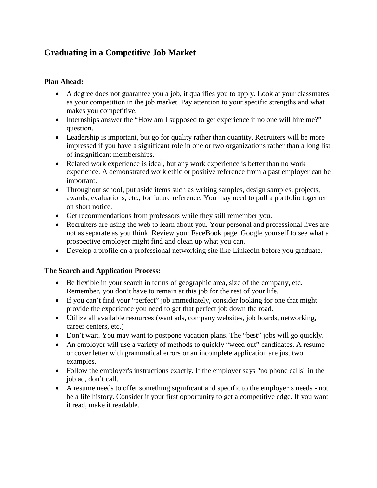# **Graduating in a Competitive Job Market**

### **Plan Ahead:**

- A degree does not guarantee you a job, it qualifies you to apply. Look at your classmates as your competition in the job market. Pay attention to your specific strengths and what makes you competitive.
- Internships answer the "How am I supposed to get experience if no one will hire me?" question.
- Leadership is important, but go for quality rather than quantity. Recruiters will be more impressed if you have a significant role in one or two organizations rather than a long list of insignificant memberships.
- Related work experience is ideal, but any work experience is better than no work experience. A demonstrated work ethic or positive reference from a past employer can be important.
- Throughout school, put aside items such as writing samples, design samples, projects, awards, evaluations, etc., for future reference. You may need to pull a portfolio together on short notice.
- Get recommendations from professors while they still remember you.
- Recruiters are using the web to learn about you. Your personal and professional lives are not as separate as you think. Review your FaceBook page. Google yourself to see what a prospective employer might find and clean up what you can.
- Develop a profile on a professional networking site like LinkedIn before you graduate.

### **The Search and Application Process:**

- Be flexible in your search in terms of geographic area, size of the company, etc. Remember, you don't have to remain at this job for the rest of your life.
- If you can't find your "perfect" job immediately, consider looking for one that might provide the experience you need to get that perfect job down the road.
- Utilize all available resources (want ads, company websites, job boards, networking, career centers, etc.)
- Don't wait. You may want to postpone vacation plans. The "best" jobs will go quickly.
- An employer will use a variety of methods to quickly "weed out" candidates. A resume or cover letter with grammatical errors or an incomplete application are just two examples.
- Follow the employer's instructions exactly. If the employer says "no phone calls" in the job ad, don't call.
- A resume needs to offer something significant and specific to the employer's needs not be a life history. Consider it your first opportunity to get a competitive edge. If you want it read, make it readable.